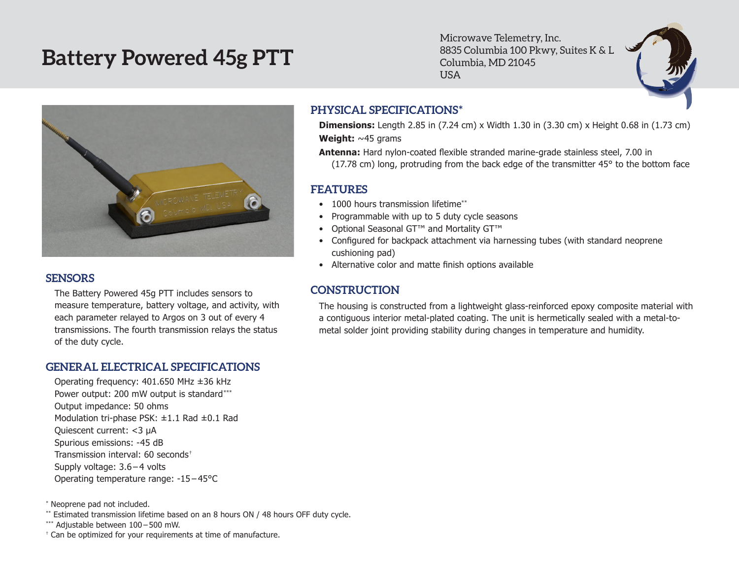# **Battery Powered 45g PTT**

Microwave Telemetry, Inc. 8835 Columbia 100 Pkwy, Suites K & L Columbia, MD 21045 USA



#### **SENSORS**

The Battery Powered 45g PTT includes sensors to measure temperature, battery voltage, and activity, with each parameter relayed to Argos on 3 out of every 4 transmissions. The fourth transmission relays the status of the duty cycle.

#### **GENERAL ELECTRICAL SPECIFICATIONS**

Operating frequency: 401.650 MHz ±36 kHz Power output: 200 mW output is standard\*\*\* Output impedance: 50 ohms Modulation tri-phase PSK: ±1.1 Rad ±0.1 Rad Quiescent current: <3 µA Spurious emissions: -45 dB Transmission interval: 60 seconds† Supply voltage: 3.6 – 4 volts Operating temperature range: -15 – 45°C

\* Neoprene pad not included.

\*\* Estimated transmission lifetime based on an 8 hours ON / 48 hours OFF duty cycle.

\*\*\* Adjustable between 100 – 500 mW.

† Can be optimized for your requirements at time of manufacture.

#### **PHYSICAL SPECIFICATIONS\***

**Dimensions:** Length 2.85 in (7.24 cm) x Width 1.30 in (3.30 cm) x Height 0.68 in (1.73 cm) **Weight:** ~45 grams

**Antenna:** Hard nylon-coated flexible stranded marine-grade stainless steel, 7.00 in (17.78 cm) long, protruding from the back edge of the transmitter 45° to the bottom face

### **FEATURES**

- 1000 hours transmission lifetime\*\*
- Programmable with up to 5 duty cycle seasons
- • Optional Seasonal GT™ and Mortality GT™
- Configured for backpack attachment via harnessing tubes (with standard neoprene cushioning pad)
- Alternative color and matte finish options available

## **CONSTRUCTION**

The housing is constructed from a lightweight glass-reinforced epoxy composite material with a contiguous interior metal-plated coating. The unit is hermetically sealed with a metal-tometal solder joint providing stability during changes in temperature and humidity.